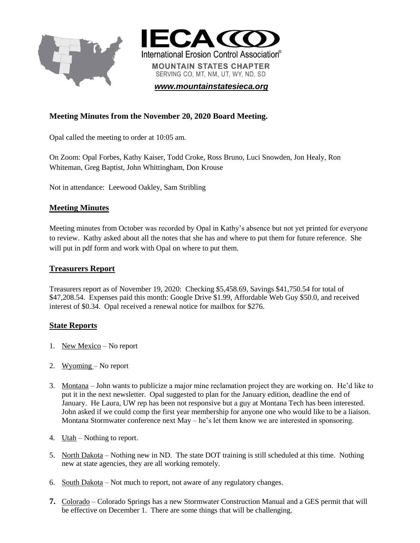



*[www.mountainstatesieca.org](http://www.mountainstatesieca.org/)*

# **Meeting Minutes from the November 20, 2020 Board Meeting.**

Opal called the meeting to order at 10:05 am.

On Zoom: Opal Forbes, Kathy Kaiser, Todd Croke, Ross Bruno, Luci Snowden, Jon Healy, Ron Whiteman, Greg Baptist, John Whittingham, Don Krouse

Not in attendance: Leewood Oakley, Sam Stribling

### **Meeting Minutes**

Meeting minutes from October was recorded by Opal in Kathy's absence but not yet printed for everyone to review. Kathy asked about all the notes that she has and where to put them for future reference. She will put in pdf form and work with Opal on where to put them.

### **Treasurers Report**

Treasurers report as of November 19, 2020: Checking \$5,458.69, Savings \$41,750.54 for total of \$47,208.54. Expenses paid this month: Google Drive \$1.99, Affordable Web Guy \$50.0, and received interest of \$0.34. Opal received a renewal notice for mailbox for \$276.

### **State Reports**

- 1. New Mexico No report
- 2. Wyoming No report
- 3. Montana John wants to publicize a major mine reclamation project they are working on. He'd like to put it in the next newsletter. Opal suggested to plan for the January edition, deadline the end of January. He Laura, UW rep has been not responsive but a guy at Montana Tech has been interested. John asked if we could comp the first year membership for anyone one who would like to be a liaison. Montana Stormwater conference next May – he's let them know we are interested in sponsoring.
- 4.  $Utah Nothing to report.$ </u>
- 5. North Dakota Nothing new in ND. The state DOT training is still scheduled at this time. Nothing new at state agencies, they are all working remotely.
- 6. South Dakota Not much to report, not aware of any regulatory changes.
- **7.** Colorado Colorado Springs has a new Stormwater Construction Manual and a GES permit that will be effective on December 1. There are some things that will be challenging.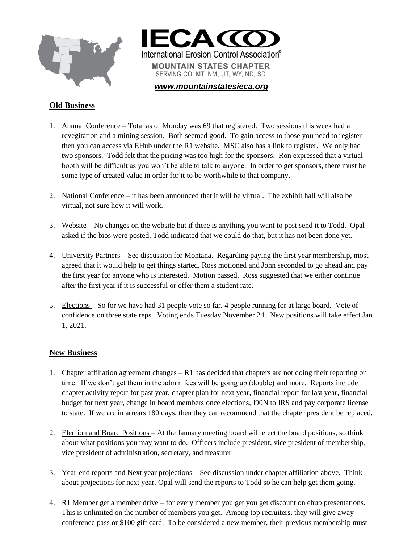



*[www.mountainstatesieca.org](http://www.mountainstatesieca.org/)*

## **Old Business**

- 1. Annual Conference Total as of Monday was 69 that registered. Two sessions this week had a revegitation and a mining session. Both seemed good. To gain access to those you need to register then you can access via EHub under the R1 website. MSC also has a link to register. We only had two sponsors. Todd felt that the pricing was too high for the sponsors. Ron expressed that a virtual booth will be difficult as you won't be able to talk to anyone. In order to get sponsors, there must be some type of created value in order for it to be worthwhile to that company.
- 2. National Conference it has been announced that it will be virtual. The exhibit hall will also be virtual, not sure how it will work.
- 3. Website No changes on the website but if there is anything you want to post send it to Todd. Opal asked if the bios were posted, Todd indicated that we could do that, but it has not been done yet.
- 4. University Partners See discussion for Montana. Regarding paying the first year membership, most agreed that it would help to get things started. Ross motioned and John seconded to go ahead and pay the first year for anyone who is interested. Motion passed. Ross suggested that we either continue after the first year if it is successful or offer them a student rate.
- 5. Elections So for we have had 31 people vote so far. 4 people running for at large board. Vote of confidence on three state reps. Voting ends Tuesday November 24. New positions will take effect Jan 1, 2021.

### **New Business**

- 1. Chapter affiliation agreement changes R1 has decided that chapters are not doing their reporting on time. If we don't get them in the admin fees will be going up (double) and more. Reports include chapter activity report for past year, chapter plan for next year, financial report for last year, financial budget for next year, change in board members once elections, I90N to IRS and pay corporate license to state. If we are in arrears 180 days, then they can recommend that the chapter president be replaced.
- 2. Election and Board Positions At the January meeting board will elect the board positions, so think about what positions you may want to do. Officers include president, vice president of membership, vice president of administration, secretary, and treasurer
- 3. Year-end reports and Next year projections See discussion under chapter affiliation above. Think about projections for next year. Opal will send the reports to Todd so he can help get them going.
- 4. R1 Member get a member drive for every member you get you get discount on ehub presentations. This is unlimited on the number of members you get. Among top recruiters, they will give away conference pass or \$100 gift card. To be considered a new member, their previous membership must